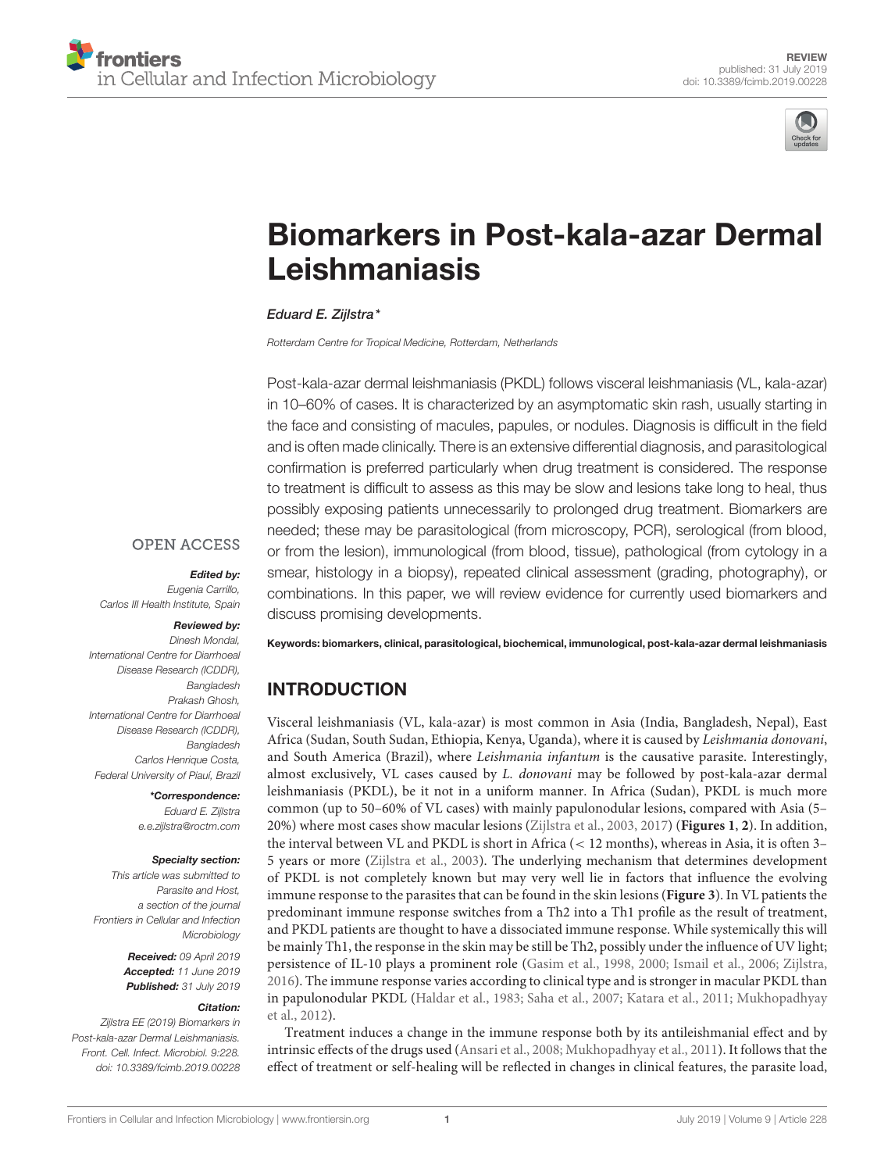

# [Biomarkers in Post-kala-azar Dermal](https://www.frontiersin.org/articles/10.3389/fcimb.2019.00228/full) Leishmaniasis

[Eduard E. Zijlstra\\*](http://loop.frontiersin.org/people/717972/overview)

Rotterdam Centre for Tropical Medicine, Rotterdam, Netherlands

Post-kala-azar dermal leishmaniasis (PKDL) follows visceral leishmaniasis (VL, kala-azar) in 10–60% of cases. It is characterized by an asymptomatic skin rash, usually starting in the face and consisting of macules, papules, or nodules. Diagnosis is difficult in the field and is often made clinically. There is an extensive differential diagnosis, and parasitological confirmation is preferred particularly when drug treatment is considered. The response to treatment is difficult to assess as this may be slow and lesions take long to heal, thus possibly exposing patients unnecessarily to prolonged drug treatment. Biomarkers are needed; these may be parasitological (from microscopy, PCR), serological (from blood, or from the lesion), immunological (from blood, tissue), pathological (from cytology in a smear, histology in a biopsy), repeated clinical assessment (grading, photography), or combinations. In this paper, we will review evidence for currently used biomarkers and discuss promising developments.

**OPEN ACCESS** 

#### Edited by:

Eugenia Carrillo, Carlos III Health Institute, Spain

# Reviewed by:

Dinesh Mondal, International Centre for Diarrhoeal Disease Research (ICDDR), Bangladesh Prakash Ghosh, International Centre for Diarrhoeal Disease Research (ICDDR), Bangladesh Carlos Henrique Costa, Federal University of Piauí, Brazil

\*Correspondence:

Eduard E. Zijlstra [e.e.zijlstra@roctm.com](mailto:e.e.zijlstra@roctm.com)

#### Specialty section:

This article was submitted to Parasite and Host, a section of the journal Frontiers in Cellular and Infection Microbiology

> Received: 09 April 2019 Accepted: 11 June 2019 Published: 31 July 2019

#### Citation:

Zijlstra EE (2019) Biomarkers in Post-kala-azar Dermal Leishmaniasis. Front. Cell. Infect. Microbiol. 9:228. doi: [10.3389/fcimb.2019.00228](https://doi.org/10.3389/fcimb.2019.00228) Keywords: biomarkers, clinical, parasitological, biochemical, immunological, post-kala-azar dermal leishmaniasis

# INTRODUCTION

Visceral leishmaniasis (VL, kala-azar) is most common in Asia (India, Bangladesh, Nepal), East Africa (Sudan, South Sudan, Ethiopia, Kenya, Uganda), where it is caused by Leishmania donovani, and South America (Brazil), where Leishmania infantum is the causative parasite. Interestingly, almost exclusively, VL cases caused by L. donovani may be followed by post-kala-azar dermal leishmaniasis (PKDL), be it not in a uniform manner. In Africa (Sudan), PKDL is much more common (up to 50–60% of VL cases) with mainly papulonodular lesions, compared with Asia (5– 20%) where most cases show macular lesions [\(Zijlstra et al., 2003,](#page-9-0) [2017\)](#page-9-1) (**[Figures 1](#page-1-0)**, **[2](#page-1-1)**). In addition, the interval between VL and PKDL is short in Africa (< 12 months), whereas in Asia, it is often 3– 5 years or more [\(Zijlstra et al., 2003\)](#page-9-0). The underlying mechanism that determines development of PKDL is not completely known but may very well lie in factors that influence the evolving immune response to the parasites that can be found in the skin lesions (**[Figure 3](#page-1-2)**). In VL patients the predominant immune response switches from a Th2 into a Th1 profile as the result of treatment, and PKDL patients are thought to have a dissociated immune response. While systemically this will be mainly Th1, the response in the skin may be still be Th2, possibly under the influence of UV light; persistence of IL-10 plays a prominent role [\(Gasim et al., 1998,](#page-7-0) [2000;](#page-7-1) [Ismail et al., 2006;](#page-7-2) [Zijlstra,](#page-9-2) [2016\)](#page-9-2). The immune response varies according to clinical type and isstronger in macular PKDL than in papulonodular PKDL [\(Haldar et al., 1983;](#page-7-3) [Saha et al., 2007;](#page-8-0) [Katara et al., 2011;](#page-8-1) Mukhopadhyay et al., [2012\)](#page-8-2).

Treatment induces a change in the immune response both by its antileishmanial effect and by intrinsic effects of the drugs used [\(Ansari et al., 2008;](#page-7-4) [Mukhopadhyay et al., 2011\)](#page-8-3). It follows that the effect of treatment or self-healing will be reflected in changes in clinical features, the parasite load,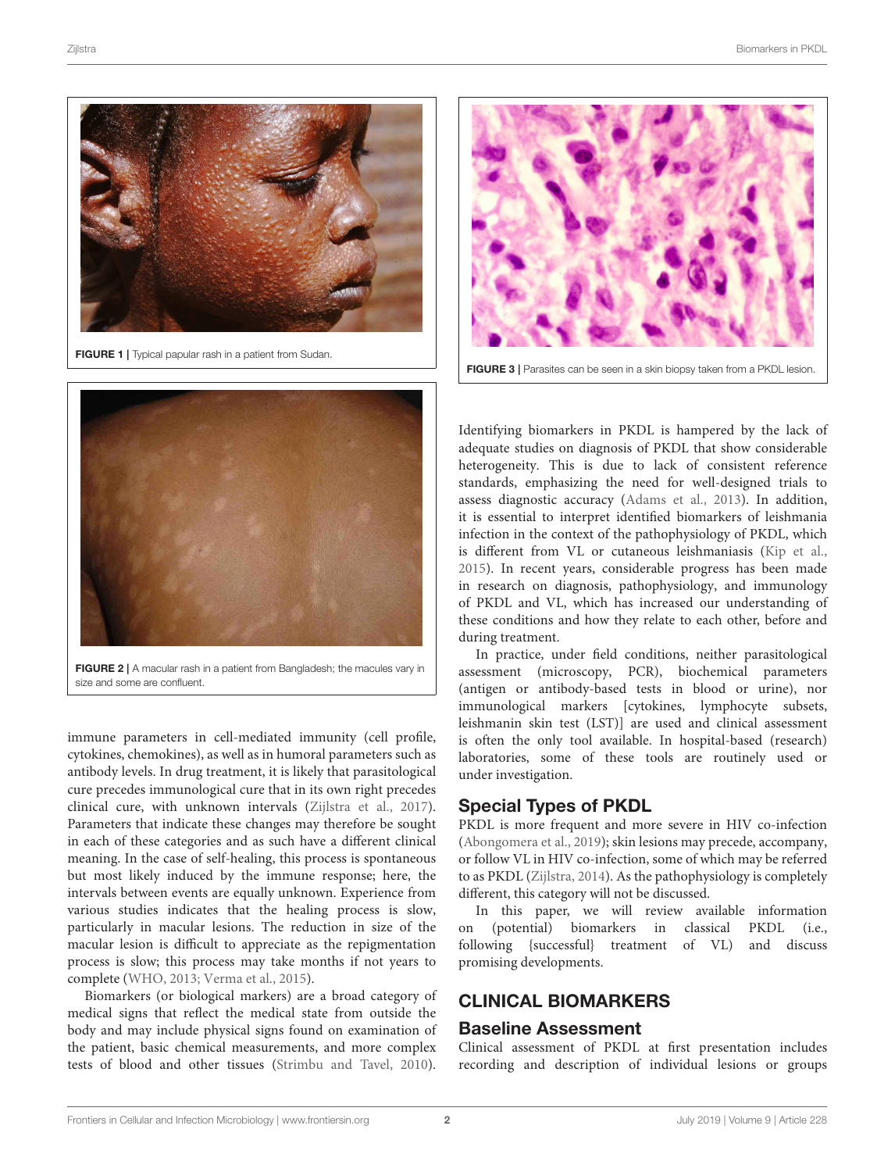

FIGURE 1 | Typical papular rash in a patient from Sudan.

<span id="page-1-0"></span>

FIGURE 2 | A macular rash in a patient from Bangladesh; the macules vary in size and some are confluent.

<span id="page-1-1"></span>immune parameters in cell-mediated immunity (cell profile, cytokines, chemokines), as well as in humoral parameters such as antibody levels. In drug treatment, it is likely that parasitological cure precedes immunological cure that in its own right precedes clinical cure, with unknown intervals [\(Zijlstra et al., 2017\)](#page-9-1). Parameters that indicate these changes may therefore be sought in each of these categories and as such have a different clinical meaning. In the case of self-healing, this process is spontaneous but most likely induced by the immune response; here, the intervals between events are equally unknown. Experience from various studies indicates that the healing process is slow, particularly in macular lesions. The reduction in size of the macular lesion is difficult to appreciate as the repigmentation process is slow; this process may take months if not years to complete [\(WHO, 2013;](#page-9-3) [Verma et al., 2015\)](#page-8-4).

Biomarkers (or biological markers) are a broad category of medical signs that reflect the medical state from outside the body and may include physical signs found on examination of the patient, basic chemical measurements, and more complex tests of blood and other tissues [\(Strimbu and Tavel, 2010\)](#page-8-5).



<span id="page-1-2"></span>FIGURE 3 | Parasites can be seen in a skin biopsy taken from a PKDL lesion.

Identifying biomarkers in PKDL is hampered by the lack of adequate studies on diagnosis of PKDL that show considerable heterogeneity. This is due to lack of consistent reference standards, emphasizing the need for well-designed trials to assess diagnostic accuracy [\(Adams et al., 2013\)](#page-7-5). In addition, it is essential to interpret identified biomarkers of leishmania infection in the context of the pathophysiology of PKDL, which is different from VL or cutaneous leishmaniasis [\(Kip et al.,](#page-8-6) [2015\)](#page-8-6). In recent years, considerable progress has been made in research on diagnosis, pathophysiology, and immunology of PKDL and VL, which has increased our understanding of these conditions and how they relate to each other, before and during treatment.

In practice, under field conditions, neither parasitological assessment (microscopy, PCR), biochemical parameters (antigen or antibody-based tests in blood or urine), nor immunological markers [cytokines, lymphocyte subsets, leishmanin skin test (LST)] are used and clinical assessment is often the only tool available. In hospital-based (research) laboratories, some of these tools are routinely used or under investigation.

#### Special Types of PKDL

PKDL is more frequent and more severe in HIV co-infection [\(Abongomera et al., 2019\)](#page-7-6); skin lesions may precede, accompany, or follow VL in HIV co-infection, some of which may be referred to as PKDL [\(Zijlstra, 2014\)](#page-9-4). As the pathophysiology is completely different, this category will not be discussed.

In this paper, we will review available information on (potential) biomarkers in classical PKDL (i.e., following {successful} treatment of VL) and discuss promising developments.

#### CLINICAL BIOMARKERS

# Baseline Assessment

Clinical assessment of PKDL at first presentation includes recording and description of individual lesions or groups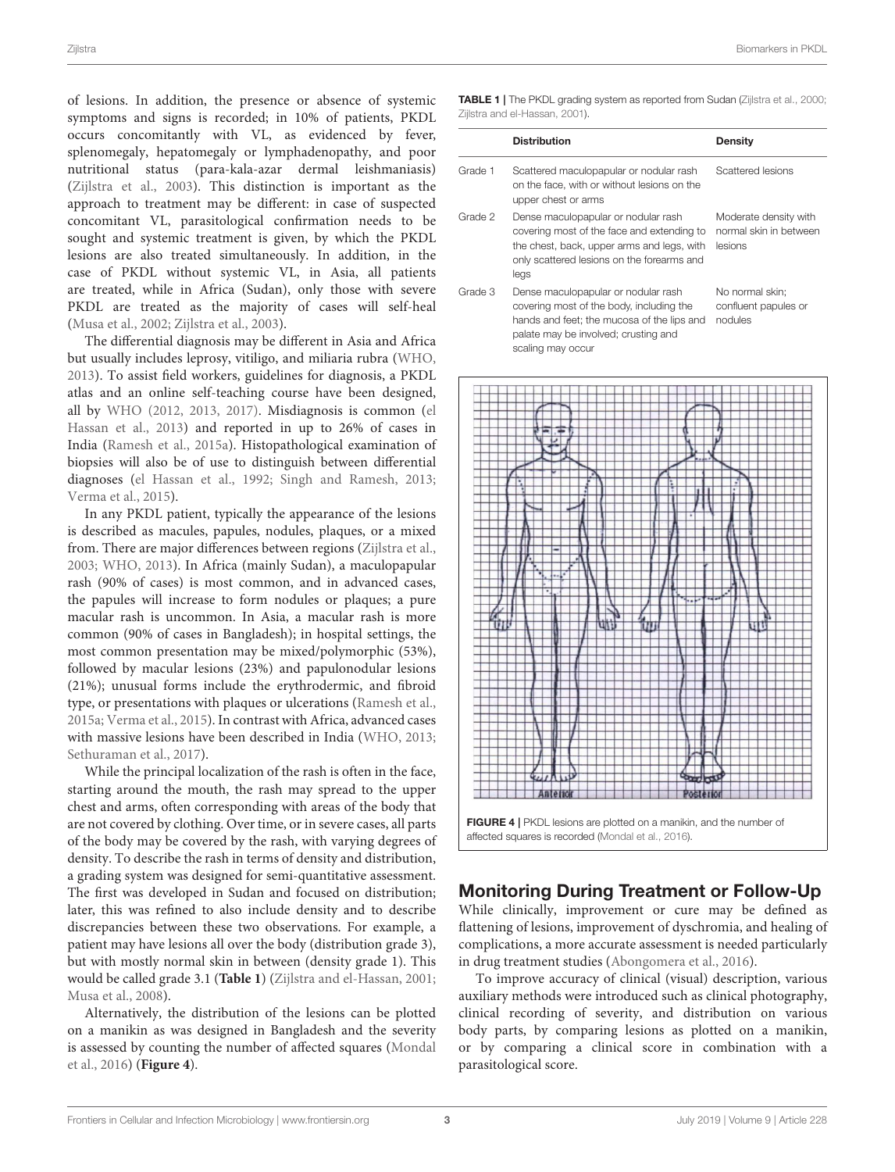of lesions. In addition, the presence or absence of systemic symptoms and signs is recorded; in 10% of patients, PKDL occurs concomitantly with VL, as evidenced by fever, splenomegaly, hepatomegaly or lymphadenopathy, and poor nutritional status (para-kala-azar dermal leishmaniasis) [\(Zijlstra et al., 2003\)](#page-9-0). This distinction is important as the approach to treatment may be different: in case of suspected concomitant VL, parasitological confirmation needs to be sought and systemic treatment is given, by which the PKDL lesions are also treated simultaneously. In addition, in the case of PKDL without systemic VL, in Asia, all patients are treated, while in Africa (Sudan), only those with severe PKDL are treated as the majority of cases will self-heal [\(Musa et al., 2002;](#page-8-7) [Zijlstra et al., 2003\)](#page-9-0).

The differential diagnosis may be different in Asia and Africa but usually includes leprosy, vitiligo, and miliaria rubra [\(WHO,](#page-9-3) [2013\)](#page-9-3). To assist field workers, guidelines for diagnosis, a PKDL atlas and an online self-teaching course have been designed, all by [WHO \(2012,](#page-9-5) [2013,](#page-9-3) [2017\)](#page-9-6). Misdiagnosis is common (el Hassan et al., [2013\)](#page-7-7) and reported in up to 26% of cases in India [\(Ramesh et al., 2015a\)](#page-8-8). Histopathological examination of biopsies will also be of use to distinguish between differential diagnoses [\(el Hassan et al., 1992;](#page-7-8) [Singh and Ramesh, 2013;](#page-8-9) [Verma et al., 2015\)](#page-8-4).

In any PKDL patient, typically the appearance of the lesions is described as macules, papules, nodules, plaques, or a mixed from. There are major differences between regions [\(Zijlstra et al.,](#page-9-0) [2003;](#page-9-0) [WHO, 2013\)](#page-9-3). In Africa (mainly Sudan), a maculopapular rash (90% of cases) is most common, and in advanced cases, the papules will increase to form nodules or plaques; a pure macular rash is uncommon. In Asia, a macular rash is more common (90% of cases in Bangladesh); in hospital settings, the most common presentation may be mixed/polymorphic (53%), followed by macular lesions (23%) and papulonodular lesions (21%); unusual forms include the erythrodermic, and fibroid type, or presentations with plaques or ulcerations [\(Ramesh et al.,](#page-8-8) [2015a;](#page-8-8) [Verma et al., 2015\)](#page-8-4). In contrast with Africa, advanced cases with massive lesions have been described in India [\(WHO, 2013;](#page-9-3) [Sethuraman et al., 2017\)](#page-8-10).

While the principal localization of the rash is often in the face, starting around the mouth, the rash may spread to the upper chest and arms, often corresponding with areas of the body that are not covered by clothing. Over time, or in severe cases, all parts of the body may be covered by the rash, with varying degrees of density. To describe the rash in terms of density and distribution, a grading system was designed for semi-quantitative assessment. The first was developed in Sudan and focused on distribution; later, this was refined to also include density and to describe discrepancies between these two observations. For example, a patient may have lesions all over the body (distribution grade 3), but with mostly normal skin in between (density grade 1). This would be called grade 3.1 (**[Table 1](#page-2-0)**) [\(Zijlstra and el-Hassan, 2001;](#page-9-7) [Musa et al., 2008\)](#page-8-11).

Alternatively, the distribution of the lesions can be plotted on a manikin as was designed in Bangladesh and the severity is assessed by counting the number of affected squares (Mondal et al., [2016\)](#page-8-12) (**[Figure 4](#page-2-1)**).

<span id="page-2-0"></span>TABLE 1 | The PKDL grading system as reported from Sudan [\(Zijlstra et al., 2000;](#page-9-8) [Zijlstra and el-Hassan, 2001\)](#page-9-7).

|         | <b>Distribution</b>                                                                                                                                                                        | <b>Density</b>                                             |
|---------|--------------------------------------------------------------------------------------------------------------------------------------------------------------------------------------------|------------------------------------------------------------|
| Grade 1 | Scattered maculopapular or nodular rash<br>on the face, with or without lesions on the<br>upper chest or arms                                                                              | Scattered lesions                                          |
| Grade 2 | Dense maculopapular or nodular rash<br>covering most of the face and extending to<br>the chest, back, upper arms and legs, with<br>only scattered lesions on the forearms and<br>legs      | Moderate density with<br>normal skin in between<br>lesions |
| Grade 3 | Dense maculopapular or nodular rash<br>covering most of the body, including the<br>hands and feet; the mucosa of the lips and<br>palate may be involved; crusting and<br>scaling may occur | No normal skin:<br>confluent papules or<br>nodules         |



# <span id="page-2-1"></span>Monitoring During Treatment or Follow-Up

While clinically, improvement or cure may be defined as flattening of lesions, improvement of dyschromia, and healing of complications, a more accurate assessment is needed particularly in drug treatment studies [\(Abongomera et al., 2016\)](#page-7-9).

To improve accuracy of clinical (visual) description, various auxiliary methods were introduced such as clinical photography, clinical recording of severity, and distribution on various body parts, by comparing lesions as plotted on a manikin, or by comparing a clinical score in combination with a parasitological score.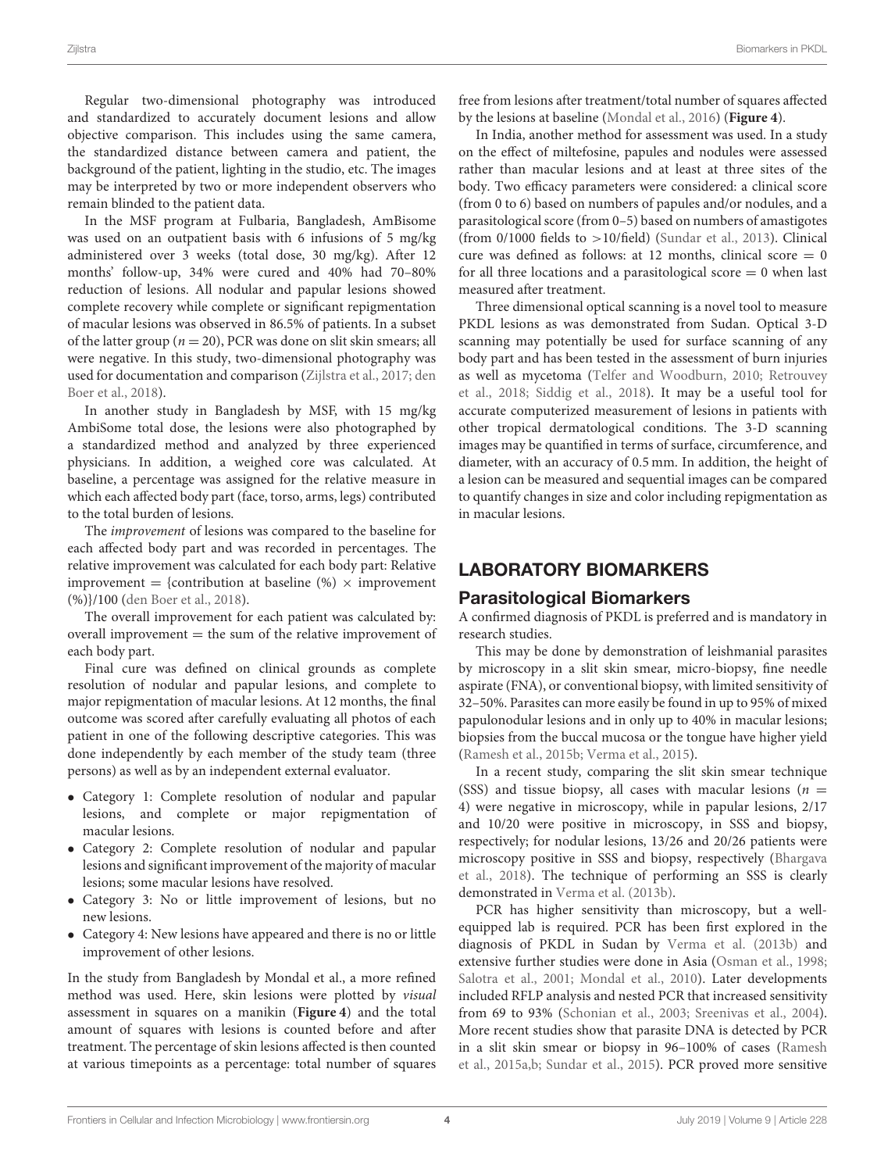Regular two-dimensional photography was introduced and standardized to accurately document lesions and allow objective comparison. This includes using the same camera, the standardized distance between camera and patient, the background of the patient, lighting in the studio, etc. The images may be interpreted by two or more independent observers who remain blinded to the patient data.

In the MSF program at Fulbaria, Bangladesh, AmBisome was used on an outpatient basis with 6 infusions of 5 mg/kg administered over 3 weeks (total dose, 30 mg/kg). After 12 months' follow-up, 34% were cured and 40% had 70–80% reduction of lesions. All nodular and papular lesions showed complete recovery while complete or significant repigmentation of macular lesions was observed in 86.5% of patients. In a subset of the latter group ( $n = 20$ ), PCR was done on slit skin smears; all were negative. In this study, two-dimensional photography was used for documentation and comparison [\(Zijlstra et al., 2017;](#page-9-1) den Boer et al., [2018\)](#page-7-10).

In another study in Bangladesh by MSF, with 15 mg/kg AmbiSome total dose, the lesions were also photographed by a standardized method and analyzed by three experienced physicians. In addition, a weighed core was calculated. At baseline, a percentage was assigned for the relative measure in which each affected body part (face, torso, arms, legs) contributed to the total burden of lesions.

The improvement of lesions was compared to the baseline for each affected body part and was recorded in percentages. The relative improvement was calculated for each body part: Relative improvement = {contribution at baseline  $(\%) \times$  improvement (%)}/100 [\(den Boer et al., 2018\)](#page-7-10).

The overall improvement for each patient was calculated by: overall improvement  $=$  the sum of the relative improvement of each body part.

Final cure was defined on clinical grounds as complete resolution of nodular and papular lesions, and complete to major repigmentation of macular lesions. At 12 months, the final outcome was scored after carefully evaluating all photos of each patient in one of the following descriptive categories. This was done independently by each member of the study team (three persons) as well as by an independent external evaluator.

- Category 1: Complete resolution of nodular and papular lesions, and complete or major repigmentation of macular lesions.
- Category 2: Complete resolution of nodular and papular lesions and significant improvement of the majority of macular lesions; some macular lesions have resolved.
- Category 3: No or little improvement of lesions, but no new lesions.
- Category 4: New lesions have appeared and there is no or little improvement of other lesions.

In the study from Bangladesh by Mondal et al., a more refined method was used. Here, skin lesions were plotted by visual assessment in squares on a manikin (**[Figure 4](#page-2-1)**) and the total amount of squares with lesions is counted before and after treatment. The percentage of skin lesions affected is then counted at various timepoints as a percentage: total number of squares free from lesions after treatment/total number of squares affected by the lesions at baseline [\(Mondal et al., 2016\)](#page-8-12) (**[Figure 4](#page-2-1)**).

In India, another method for assessment was used. In a study on the effect of miltefosine, papules and nodules were assessed rather than macular lesions and at least at three sites of the body. Two efficacy parameters were considered: a clinical score (from 0 to 6) based on numbers of papules and/or nodules, and a parasitological score (from 0–5) based on numbers of amastigotes (from  $0/1000$  fields to  $>10$ /field) [\(Sundar et al., 2013\)](#page-8-13). Clinical cure was defined as follows: at 12 months, clinical score  $= 0$ for all three locations and a parasitological score  $= 0$  when last measured after treatment.

Three dimensional optical scanning is a novel tool to measure PKDL lesions as was demonstrated from Sudan. Optical 3-D scanning may potentially be used for surface scanning of any body part and has been tested in the assessment of burn injuries as well as mycetoma [\(Telfer and Woodburn, 2010;](#page-8-14) Retrouvey et al., [2018;](#page-8-15) [Siddig et al., 2018\)](#page-8-16). It may be a useful tool for accurate computerized measurement of lesions in patients with other tropical dermatological conditions. The 3-D scanning images may be quantified in terms of surface, circumference, and diameter, with an accuracy of 0.5 mm. In addition, the height of a lesion can be measured and sequential images can be compared to quantify changes in size and color including repigmentation as in macular lesions.

# LABORATORY BIOMARKERS

## Parasitological Biomarkers

A confirmed diagnosis of PKDL is preferred and is mandatory in research studies.

This may be done by demonstration of leishmanial parasites by microscopy in a slit skin smear, micro-biopsy, fine needle aspirate (FNA), or conventional biopsy, with limited sensitivity of 32–50%. Parasites can more easily be found in up to 95% of mixed papulonodular lesions and in only up to 40% in macular lesions; biopsies from the buccal mucosa or the tongue have higher yield [\(Ramesh et al., 2015b;](#page-8-17) [Verma et al., 2015\)](#page-8-4).

In a recent study, comparing the slit skin smear technique (SSS) and tissue biopsy, all cases with macular lesions ( $n =$ 4) were negative in microscopy, while in papular lesions, 2/17 and 10/20 were positive in microscopy, in SSS and biopsy, respectively; for nodular lesions, 13/26 and 20/26 patients were microscopy positive in SSS and biopsy, respectively (Bhargava et al., [2018\)](#page-7-11). The technique of performing an SSS is clearly demonstrated in [Verma et al. \(2013b\)](#page-8-18).

PCR has higher sensitivity than microscopy, but a wellequipped lab is required. PCR has been first explored in the diagnosis of PKDL in Sudan by [Verma et al. \(2013b\)](#page-8-18) and extensive further studies were done in Asia [\(Osman et al., 1998;](#page-8-19) [Salotra et al., 2001;](#page-8-20) [Mondal et al., 2010\)](#page-8-21). Later developments included RFLP analysis and nested PCR that increased sensitivity from 69 to 93% [\(Schonian et al., 2003;](#page-8-22) [Sreenivas et al., 2004\)](#page-8-23). More recent studies show that parasite DNA is detected by PCR in a slit skin smear or biopsy in 96–100% of cases (Ramesh et al., [2015a](#page-8-8)[,b;](#page-8-17) [Sundar et al., 2015\)](#page-8-24). PCR proved more sensitive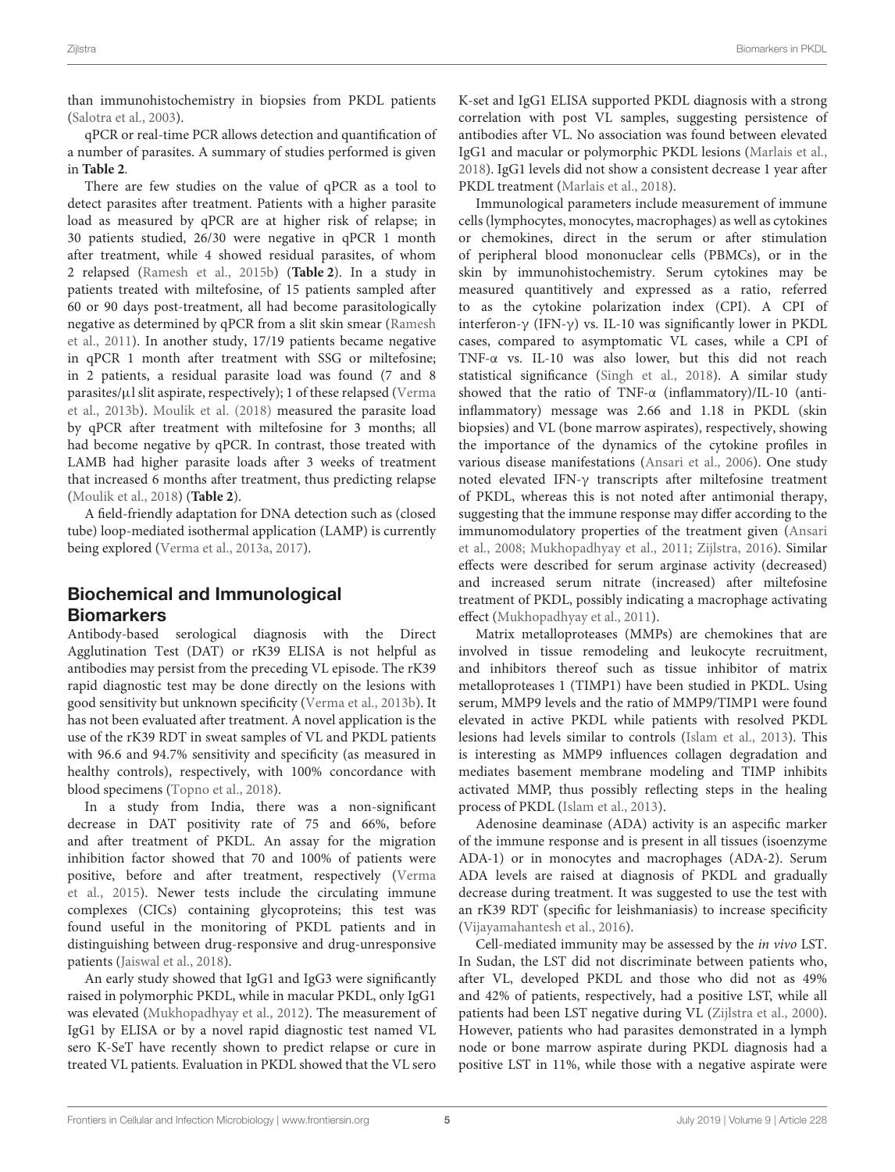than immunohistochemistry in biopsies from PKDL patients [\(Salotra et al., 2003\)](#page-8-25).

qPCR or real-time PCR allows detection and quantification of a number of parasites. A summary of studies performed is given in **[Table 2](#page-5-0)**.

There are few studies on the value of qPCR as a tool to detect parasites after treatment. Patients with a higher parasite load as measured by qPCR are at higher risk of relapse; in 30 patients studied, 26/30 were negative in qPCR 1 month after treatment, while 4 showed residual parasites, of whom 2 relapsed [\(Ramesh et al., 2015b\)](#page-8-17) (**[Table 2](#page-5-0)**). In a study in patients treated with miltefosine, of 15 patients sampled after 60 or 90 days post-treatment, all had become parasitologically negative as determined by qPCR from a slit skin smear (Ramesh et al., [2011\)](#page-8-26). In another study, 17/19 patients became negative in qPCR 1 month after treatment with SSG or miltefosine; in 2 patients, a residual parasite load was found (7 and 8 parasites/ $\mu$ l slit aspirate, respectively); 1 of these relapsed (Verma et al., [2013b\)](#page-8-18). [Moulik et al. \(2018\)](#page-8-27) measured the parasite load by qPCR after treatment with miltefosine for 3 months; all had become negative by qPCR. In contrast, those treated with LAMB had higher parasite loads after 3 weeks of treatment that increased 6 months after treatment, thus predicting relapse [\(Moulik et al., 2018\)](#page-8-27) (**[Table 2](#page-5-0)**).

A field-friendly adaptation for DNA detection such as (closed tube) loop-mediated isothermal application (LAMP) is currently being explored [\(Verma et al., 2013a,](#page-8-28) [2017\)](#page-8-29).

# Biochemical and Immunological **Biomarkers**

Antibody-based serological diagnosis with the Direct Agglutination Test (DAT) or rK39 ELISA is not helpful as antibodies may persist from the preceding VL episode. The rK39 rapid diagnostic test may be done directly on the lesions with good sensitivity but unknown specificity [\(Verma et al., 2013b\)](#page-8-18). It has not been evaluated after treatment. A novel application is the use of the rK39 RDT in sweat samples of VL and PKDL patients with 96.6 and 94.7% sensitivity and specificity (as measured in healthy controls), respectively, with 100% concordance with blood specimens [\(Topno et al., 2018\)](#page-8-30).

In a study from India, there was a non-significant decrease in DAT positivity rate of 75 and 66%, before and after treatment of PKDL. An assay for the migration inhibition factor showed that 70 and 100% of patients were positive, before and after treatment, respectively (Verma et al., [2015\)](#page-8-4). Newer tests include the circulating immune complexes (CICs) containing glycoproteins; this test was found useful in the monitoring of PKDL patients and in distinguishing between drug-responsive and drug-unresponsive patients [\(Jaiswal et al., 2018\)](#page-7-12).

An early study showed that IgG1 and IgG3 were significantly raised in polymorphic PKDL, while in macular PKDL, only IgG1 was elevated [\(Mukhopadhyay et al., 2012\)](#page-8-2). The measurement of IgG1 by ELISA or by a novel rapid diagnostic test named VL sero K-SeT have recently shown to predict relapse or cure in treated VL patients. Evaluation in PKDL showed that the VL sero K-set and IgG1 ELISA supported PKDL diagnosis with a strong correlation with post VL samples, suggesting persistence of antibodies after VL. No association was found between elevated IgG1 and macular or polymorphic PKDL lesions [\(Marlais et al.,](#page-8-31) [2018\)](#page-8-31). IgG1 levels did not show a consistent decrease 1 year after PKDL treatment [\(Marlais et al., 2018\)](#page-8-31).

Immunological parameters include measurement of immune cells (lymphocytes, monocytes, macrophages) as well as cytokines or chemokines, direct in the serum or after stimulation of peripheral blood mononuclear cells (PBMCs), or in the skin by immunohistochemistry. Serum cytokines may be measured quantitively and expressed as a ratio, referred to as the cytokine polarization index (CPI). A CPI of interferon-γ (IFN-γ) vs. IL-10 was significantly lower in PKDL cases, compared to asymptomatic VL cases, while a CPI of TNF-α vs. IL-10 was also lower, but this did not reach statistical significance [\(Singh et al., 2018\)](#page-8-32). A similar study showed that the ratio of TNF-α (inflammatory)/IL-10 (antiinflammatory) message was 2.66 and 1.18 in PKDL (skin biopsies) and VL (bone marrow aspirates), respectively, showing the importance of the dynamics of the cytokine profiles in various disease manifestations [\(Ansari et al., 2006\)](#page-7-13). One study noted elevated IFN-γ transcripts after miltefosine treatment of PKDL, whereas this is not noted after antimonial therapy, suggesting that the immune response may differ according to the immunomodulatory properties of the treatment given (Ansari et al., [2008;](#page-7-4) [Mukhopadhyay et al., 2011;](#page-8-3) [Zijlstra, 2016\)](#page-9-2). Similar effects were described for serum arginase activity (decreased) and increased serum nitrate (increased) after miltefosine treatment of PKDL, possibly indicating a macrophage activating effect [\(Mukhopadhyay et al., 2011\)](#page-8-3).

Matrix metalloproteases (MMPs) are chemokines that are involved in tissue remodeling and leukocyte recruitment, and inhibitors thereof such as tissue inhibitor of matrix metalloproteases 1 (TIMP1) have been studied in PKDL. Using serum, MMP9 levels and the ratio of MMP9/TIMP1 were found elevated in active PKDL while patients with resolved PKDL lesions had levels similar to controls [\(Islam et al., 2013\)](#page-7-14). This is interesting as MMP9 influences collagen degradation and mediates basement membrane modeling and TIMP inhibits activated MMP, thus possibly reflecting steps in the healing process of PKDL [\(Islam et al., 2013\)](#page-7-14).

Adenosine deaminase (ADA) activity is an aspecific marker of the immune response and is present in all tissues (isoenzyme ADA-1) or in monocytes and macrophages (ADA-2). Serum ADA levels are raised at diagnosis of PKDL and gradually decrease during treatment. It was suggested to use the test with an rK39 RDT (specific for leishmaniasis) to increase specificity [\(Vijayamahantesh et al., 2016\)](#page-8-33).

Cell-mediated immunity may be assessed by the in vivo LST. In Sudan, the LST did not discriminate between patients who, after VL, developed PKDL and those who did not as 49% and 42% of patients, respectively, had a positive LST, while all patients had been LST negative during VL [\(Zijlstra et al., 2000\)](#page-9-8). However, patients who had parasites demonstrated in a lymph node or bone marrow aspirate during PKDL diagnosis had a positive LST in 11%, while those with a negative aspirate were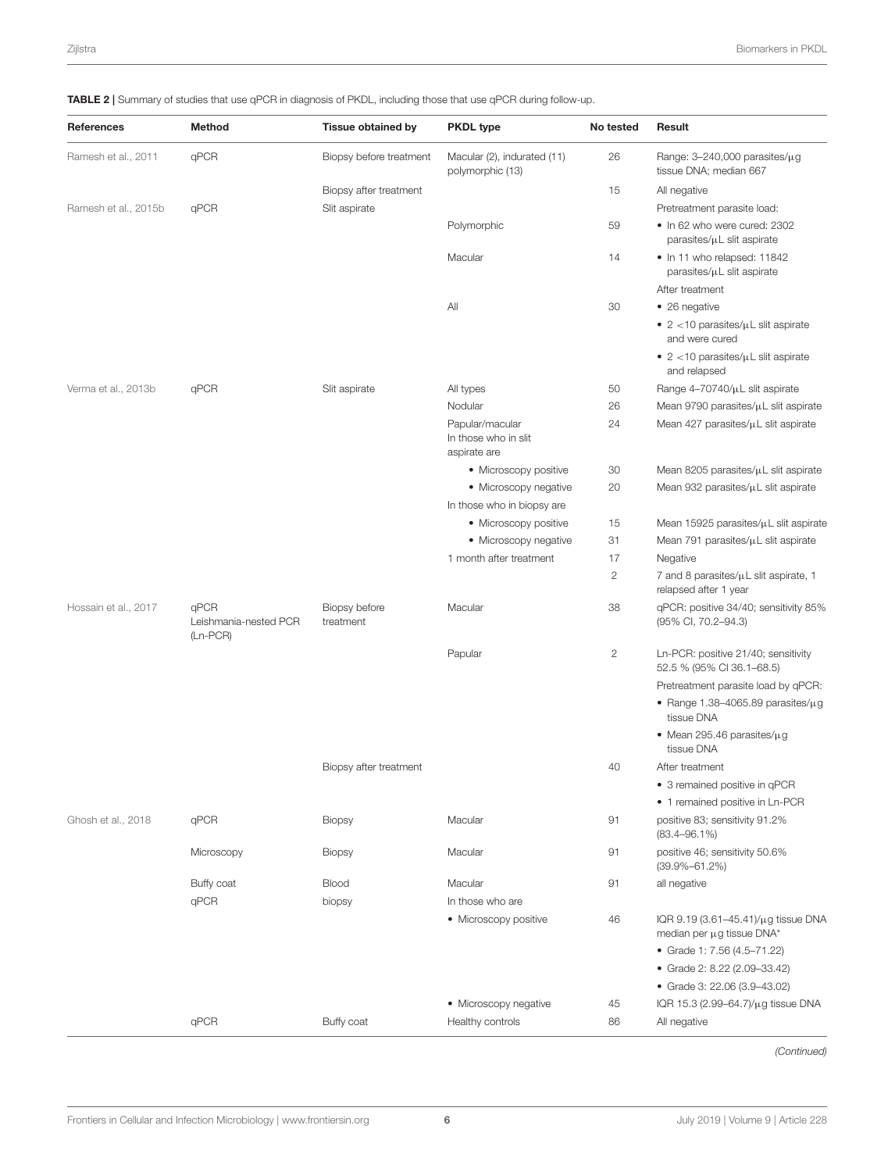<span id="page-5-0"></span>TABLE 2 | Summary of studies that use qPCR in diagnosis of PKDL, including those that use qPCR during follow-up.

| References           | <b>Method</b>                                          | <b>Tissue obtained by</b>  | <b>PKDL</b> type                                        | No tested    | Result                                                                         |
|----------------------|--------------------------------------------------------|----------------------------|---------------------------------------------------------|--------------|--------------------------------------------------------------------------------|
| Ramesh et al., 2011  | qPCR                                                   | Biopsy before treatment    | Macular (2), indurated (11)<br>polymorphic (13)         | 26           | Range: 3-240,000 parasites/µg<br>tissue DNA; median 667                        |
|                      |                                                        | Biopsy after treatment     |                                                         | 15           | All negative                                                                   |
| Ramesh et al., 2015b | qPCR                                                   | Slit aspirate              |                                                         |              | Pretreatment parasite load:                                                    |
|                      |                                                        |                            | Polymorphic                                             | 59           | • In 62 who were cured: 2302<br>parasites/µL slit aspirate                     |
|                      |                                                        |                            | Macular                                                 | 14           | • In 11 who relapsed: 11842<br>parasites/µL slit aspirate                      |
|                      |                                                        |                            | All                                                     | 30           | After treatment                                                                |
|                      |                                                        |                            |                                                         |              | • 26 negative<br>• $2 < 10$ parasites/ $\mu$ L slit aspirate<br>and were cured |
|                      |                                                        |                            |                                                         |              | • $2 < 10$ parasites/ $\mu$ L slit aspirate<br>and relapsed                    |
| Verma et al., 2013b  | qPCR                                                   | Slit aspirate              | All types                                               | 50           | Range 4-70740/µL slit aspirate                                                 |
|                      |                                                        |                            | Nodular                                                 | 26           | Mean 9790 parasites/ $\mu$ L slit aspirate                                     |
|                      |                                                        |                            | Papular/macular<br>In those who in slit<br>aspirate are | 24           | Mean 427 parasites/µL slit aspirate                                            |
|                      |                                                        |                            | • Microscopy positive                                   | 30           | Mean 8205 parasites/µL slit aspirate                                           |
|                      |                                                        |                            | • Microscopy negative                                   | 20           | Mean 932 parasites/µL slit aspirate                                            |
|                      |                                                        |                            | In those who in biopsy are                              |              |                                                                                |
|                      |                                                        |                            | • Microscopy positive                                   | 15           | Mean 15925 parasites/ $\mu$ L slit aspirate                                    |
|                      |                                                        |                            | • Microscopy negative                                   | 31           | Mean 791 parasites/µL slit aspirate                                            |
|                      |                                                        |                            | 1 month after treatment                                 | 17           | Negative                                                                       |
|                      |                                                        |                            |                                                         | $\mathbf{2}$ | 7 and 8 parasites/µL slit aspirate, 1<br>relapsed after 1 year                 |
| Hossain et al., 2017 | <b>aPCR</b><br>Leishmania-nested PCR<br>$(Ln$ -PCR $)$ | Biopsy before<br>treatment | Macular                                                 | 38           | qPCR: positive 34/40; sensitivity 85%<br>(95% CI, 70.2-94.3)                   |
|                      |                                                        |                            | Papular                                                 | $\mathbf{2}$ | Ln-PCR: positive 21/40; sensitivity<br>52.5 % (95% CI 36.1-68.5)               |
|                      |                                                        |                            |                                                         |              | Pretreatment parasite load by qPCR:                                            |
|                      |                                                        |                            |                                                         |              | • Range $1.38-4065.89$ parasites/ $\mu$ g<br>tissue DNA                        |
|                      |                                                        |                            |                                                         |              | $\bullet$ Mean 295.46 parasites/ $\mu$ g<br>tissue DNA                         |
|                      |                                                        | Biopsy after treatment     |                                                         | 40           | After treatment                                                                |
|                      |                                                        |                            |                                                         |              | • 3 remained positive in qPCR                                                  |
|                      |                                                        |                            |                                                         |              | • 1 remained positive in Ln-PCR                                                |
| Ghosh et al., 2018   | qPCR                                                   | <b>Biopsy</b>              | Macular                                                 | 91           | positive 83; sensitivity 91.2%<br>$(83.4 - 96.1\%)$                            |
|                      | Microscopy                                             | <b>Biopsy</b>              | Macular                                                 | 91           | positive 46; sensitivity 50.6%<br>$(39.9\% - 61.2\%)$                          |
|                      | Buffy coat                                             | <b>Blood</b>               | Macular                                                 | 91           | all negative                                                                   |
|                      | qPCR                                                   | biopsy                     | In those who are                                        |              |                                                                                |
|                      |                                                        |                            | • Microscopy positive                                   | 46           | IQR 9.19 (3.61-45.41)/µg tissue DNA<br>median per µg tissue DNA*               |
|                      |                                                        |                            |                                                         |              | • Grade 1: 7.56 (4.5-71.22)                                                    |
|                      |                                                        |                            |                                                         |              | • Grade 2: 8.22 (2.09-33.42)                                                   |
|                      |                                                        |                            |                                                         |              | • Grade 3: 22.06 (3.9-43.02)                                                   |
|                      |                                                        |                            | • Microscopy negative                                   | 45           | IQR 15.3 (2.99-64.7)/μg tissue DNA                                             |
|                      | qPCR                                                   | Buffy coat                 | Healthy controls                                        | 86           | All negative                                                                   |

(Continued)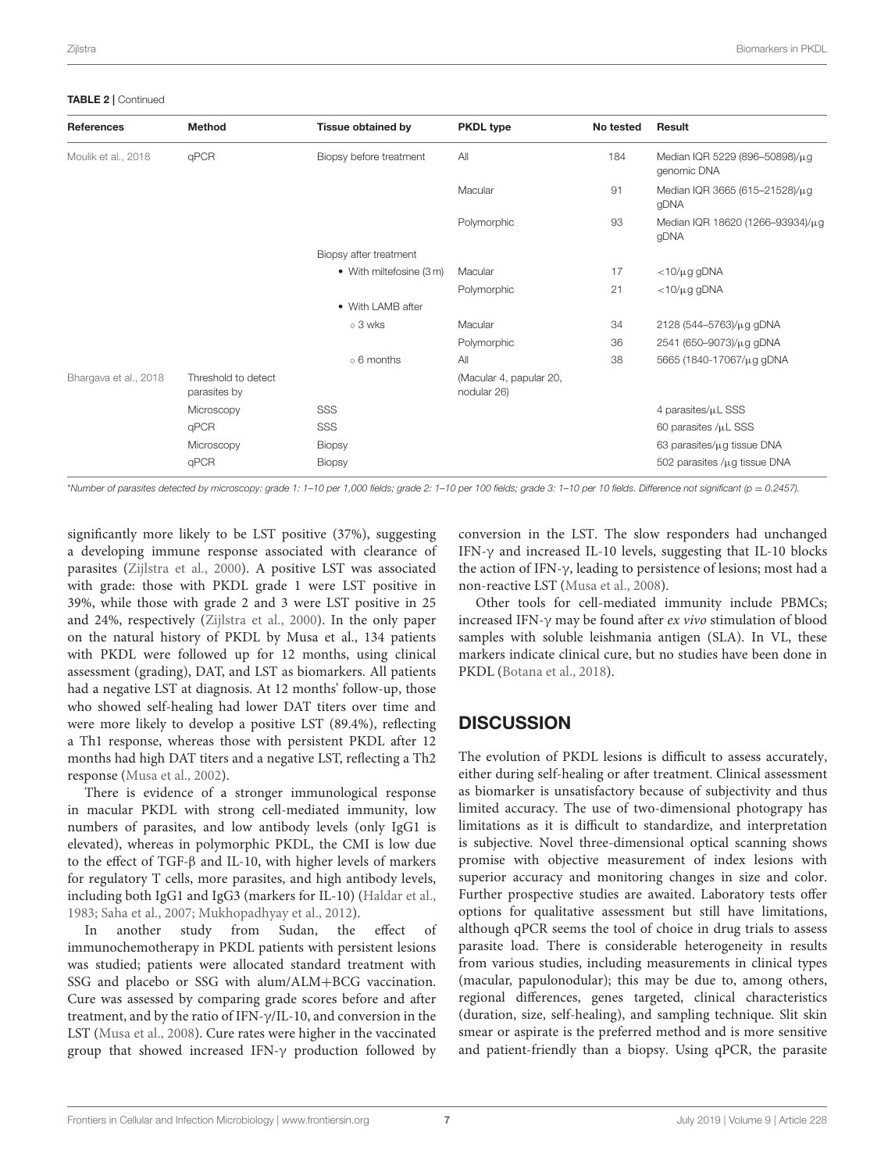TABLE 2 | Continued

| <b>References</b>     | <b>Method</b>                       | <b>Tissue obtained by</b> | <b>PKDL</b> type                       | No tested | Result                                        |
|-----------------------|-------------------------------------|---------------------------|----------------------------------------|-----------|-----------------------------------------------|
| Moulik et al., 2018   | qPCR                                | Biopsy before treatment   | All                                    | 184       | Median IQR 5229 (896-50898)/µg<br>genomic DNA |
|                       |                                     |                           | Macular                                | 91        | Median IQR 3665 (615-21528)/µg<br>gDNA        |
|                       |                                     |                           | Polymorphic                            | 93        | Median IQR 18620 (1266-93934)/µg<br>gDNA      |
|                       |                                     | Biopsy after treatment    |                                        |           |                                               |
|                       |                                     | • With miltefosine (3 m)  | Macular                                | 17        | $<$ 10/ $\mu$ g gDNA                          |
|                       |                                     |                           | Polymorphic                            | 21        | $<$ 10/ $\mu$ g gDNA                          |
|                       |                                     | • With LAMB after         |                                        |           |                                               |
|                       |                                     | o 3 wks                   | Macular                                | 34        | 2128 (544-5763)/µg gDNA                       |
|                       |                                     |                           | Polymorphic                            | 36        | 2541 (650-9073)/µg gDNA                       |
|                       |                                     | ○ 6 months                | All                                    | 38        | 5665 (1840-17067/µg gDNA                      |
| Bhargava et al., 2018 | Threshold to detect<br>parasites by |                           | (Macular 4, papular 20,<br>nodular 26) |           |                                               |
|                       | Microscopy                          | SSS                       |                                        |           | 4 parasites/µL SSS                            |
|                       | qPCR                                | SSS                       |                                        |           | 60 parasites $/\mu$ L SSS                     |
|                       | Microscopy                          | <b>Biopsy</b>             |                                        |           | 63 parasites/ $\mu$ g tissue DNA              |
|                       | qPCR                                | <b>Biopsy</b>             |                                        |           | 502 parasites / $\mu$ g tissue DNA            |
|                       |                                     |                           |                                        |           |                                               |

\*Number of parasites detected by microscopy: grade 1: 1–10 per 1,000 fields; grade 2: 1–10 per 100 fields; grade 3: 1–10 per 10 fields. Difference not significant (p = 0.2457).

significantly more likely to be LST positive (37%), suggesting a developing immune response associated with clearance of parasites [\(Zijlstra et al., 2000\)](#page-9-8). A positive LST was associated with grade: those with PKDL grade 1 were LST positive in 39%, while those with grade 2 and 3 were LST positive in 25 and 24%, respectively [\(Zijlstra et al., 2000\)](#page-9-8). In the only paper on the natural history of PKDL by Musa et al., 134 patients with PKDL were followed up for 12 months, using clinical assessment (grading), DAT, and LST as biomarkers. All patients had a negative LST at diagnosis. At 12 months' follow-up, those who showed self-healing had lower DAT titers over time and were more likely to develop a positive LST (89.4%), reflecting a Th1 response, whereas those with persistent PKDL after 12 months had high DAT titers and a negative LST, reflecting a Th2 response [\(Musa et al., 2002\)](#page-8-7).

There is evidence of a stronger immunological response in macular PKDL with strong cell-mediated immunity, low numbers of parasites, and low antibody levels (only IgG1 is elevated), whereas in polymorphic PKDL, the CMI is low due to the effect of TGF-β and IL-10, with higher levels of markers for regulatory T cells, more parasites, and high antibody levels, including both IgG1 and IgG3 (markers for IL-10) [\(Haldar et al.,](#page-7-3) [1983;](#page-7-3) [Saha et al., 2007;](#page-8-0) [Mukhopadhyay et al., 2012\)](#page-8-2).

In another study from Sudan, the effect of immunochemotherapy in PKDL patients with persistent lesions was studied; patients were allocated standard treatment with SSG and placebo or SSG with alum/ALM+BCG vaccination. Cure was assessed by comparing grade scores before and after treatment, and by the ratio of IFN-γ/IL-10, and conversion in the LST [\(Musa et al., 2008\)](#page-8-11). Cure rates were higher in the vaccinated group that showed increased IFN-γ production followed by conversion in the LST. The slow responders had unchanged IFN-γ and increased IL-10 levels, suggesting that IL-10 blocks the action of IFN- $\gamma$ , leading to persistence of lesions; most had a non-reactive LST [\(Musa et al., 2008\)](#page-8-11).

Other tools for cell-mediated immunity include PBMCs; increased IFN-γ may be found after ex vivo stimulation of blood samples with soluble leishmania antigen (SLA). In VL, these markers indicate clinical cure, but no studies have been done in PKDL [\(Botana et al., 2018\)](#page-7-17).

# **DISCUSSION**

The evolution of PKDL lesions is difficult to assess accurately, either during self-healing or after treatment. Clinical assessment as biomarker is unsatisfactory because of subjectivity and thus limited accuracy. The use of two-dimensional photograpy has limitations as it is difficult to standardize, and interpretation is subjective. Novel three-dimensional optical scanning shows promise with objective measurement of index lesions with superior accuracy and monitoring changes in size and color. Further prospective studies are awaited. Laboratory tests offer options for qualitative assessment but still have limitations, although qPCR seems the tool of choice in drug trials to assess parasite load. There is considerable heterogeneity in results from various studies, including measurements in clinical types (macular, papulonodular); this may be due to, among others, regional differences, genes targeted, clinical characteristics (duration, size, self-healing), and sampling technique. Slit skin smear or aspirate is the preferred method and is more sensitive and patient-friendly than a biopsy. Using qPCR, the parasite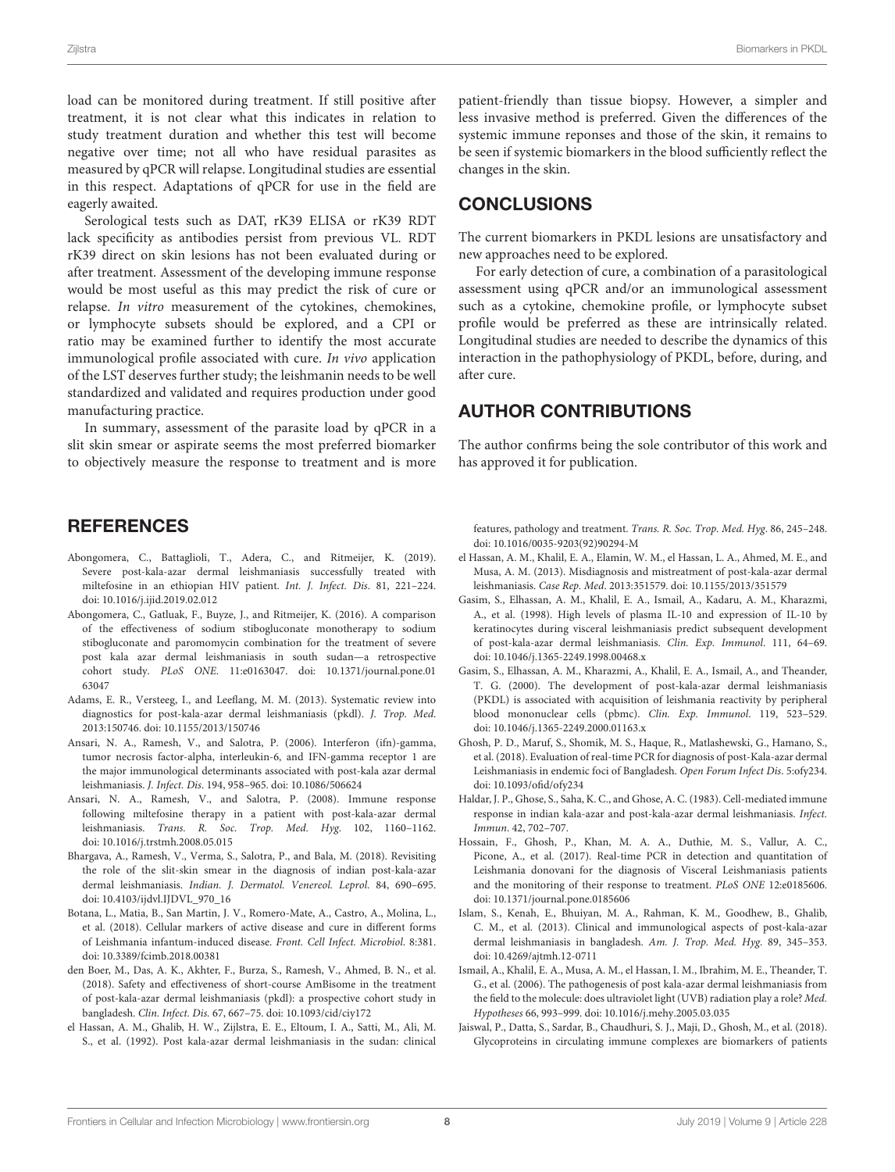load can be monitored during treatment. If still positive after treatment, it is not clear what this indicates in relation to study treatment duration and whether this test will become negative over time; not all who have residual parasites as measured by qPCR will relapse. Longitudinal studies are essential in this respect. Adaptations of qPCR for use in the field are eagerly awaited.

Serological tests such as DAT, rK39 ELISA or rK39 RDT lack specificity as antibodies persist from previous VL. RDT rK39 direct on skin lesions has not been evaluated during or after treatment. Assessment of the developing immune response would be most useful as this may predict the risk of cure or relapse. In vitro measurement of the cytokines, chemokines, or lymphocyte subsets should be explored, and a CPI or ratio may be examined further to identify the most accurate immunological profile associated with cure. In vivo application of the LST deserves further study; the leishmanin needs to be well standardized and validated and requires production under good manufacturing practice.

In summary, assessment of the parasite load by qPCR in a slit skin smear or aspirate seems the most preferred biomarker to objectively measure the response to treatment and is more

### **REFERENCES**

- <span id="page-7-6"></span>Abongomera, C., Battaglioli, T., Adera, C., and Ritmeijer, K. (2019). Severe post-kala-azar dermal leishmaniasis successfully treated with miltefosine in an ethiopian HIV patient. Int. J. Infect. Dis. 81, 221–224. doi: [10.1016/j.ijid.2019.02.012](https://doi.org/10.1016/j.ijid.2019.02.012)
- <span id="page-7-9"></span>Abongomera, C., Gatluak, F., Buyze, J., and Ritmeijer, K. (2016). A comparison of the effectiveness of sodium stibogluconate monotherapy to sodium stibogluconate and paromomycin combination for the treatment of severe post kala azar dermal leishmaniasis in south sudan—a retrospective cohort study. PLoS ONE[. 11:e0163047. doi: 10.1371/journal.pone.01](https://doi.org/10.1371/journal.pone.0163047) 63047
- <span id="page-7-5"></span>Adams, E. R., Versteeg, I., and Leeflang, M. M. (2013). Systematic review into diagnostics for post-kala-azar dermal leishmaniasis (pkdl). J. Trop. Med. 2013:150746. doi: [10.1155/2013/150746](https://doi.org/10.1155/2013/150746)
- <span id="page-7-13"></span>Ansari, N. A., Ramesh, V., and Salotra, P. (2006). Interferon (ifn)-gamma, tumor necrosis factor-alpha, interleukin-6, and IFN-gamma receptor 1 are the major immunological determinants associated with post-kala azar dermal leishmaniasis. J. Infect. Dis. 194, 958–965. doi: [10.1086/506624](https://doi.org/10.1086/506624)
- <span id="page-7-4"></span>Ansari, N. A., Ramesh, V., and Salotra, P. (2008). Immune response following miltefosine therapy in a patient with post-kala-azar dermal leishmaniasis. Trans. R. Soc. Trop. Med. Hyg. 102, 1160–1162. doi: [10.1016/j.trstmh.2008.05.015](https://doi.org/10.1016/j.trstmh.2008.05.015)
- <span id="page-7-11"></span>Bhargava, A., Ramesh, V., Verma, S., Salotra, P., and Bala, M. (2018). Revisiting the role of the slit-skin smear in the diagnosis of indian post-kala-azar dermal leishmaniasis. Indian. J. Dermatol. Venereol. Leprol. 84, 690–695. doi: [10.4103/ijdvl.IJDVL\\_970\\_16](https://doi.org/10.4103/ijdvl.IJDVL_970_16)
- <span id="page-7-17"></span>Botana, L., Matia, B., San Martin, J. V., Romero-Mate, A., Castro, A., Molina, L., et al. (2018). Cellular markers of active disease and cure in different forms of Leishmania infantum-induced disease. Front. Cell Infect. Microbiol. 8:381. doi: [10.3389/fcimb.2018.00381](https://doi.org/10.3389/fcimb.2018.00381)
- <span id="page-7-10"></span>den Boer, M., Das, A. K., Akhter, F., Burza, S., Ramesh, V., Ahmed, B. N., et al. (2018). Safety and effectiveness of short-course AmBisome in the treatment of post-kala-azar dermal leishmaniasis (pkdl): a prospective cohort study in bangladesh. Clin. Infect. Dis. 67, 667–75. doi: [10.1093/cid/ciy172](https://doi.org/10.1093/cid/ciy172)
- <span id="page-7-8"></span>el Hassan, A. M., Ghalib, H. W., Zijlstra, E. E., Eltoum, I. A., Satti, M., Ali, M. S., et al. (1992). Post kala-azar dermal leishmaniasis in the sudan: clinical

patient-friendly than tissue biopsy. However, a simpler and less invasive method is preferred. Given the differences of the systemic immune reponses and those of the skin, it remains to be seen if systemic biomarkers in the blood sufficiently reflect the changes in the skin.

### **CONCLUSIONS**

The current biomarkers in PKDL lesions are unsatisfactory and new approaches need to be explored.

For early detection of cure, a combination of a parasitological assessment using qPCR and/or an immunological assessment such as a cytokine, chemokine profile, or lymphocyte subset profile would be preferred as these are intrinsically related. Longitudinal studies are needed to describe the dynamics of this interaction in the pathophysiology of PKDL, before, during, and after cure.

## AUTHOR CONTRIBUTIONS

The author confirms being the sole contributor of this work and has approved it for publication.

features, pathology and treatment. Trans. R. Soc. Trop. Med. Hyg. 86, 245–248. doi: [10.1016/0035-9203\(92\)90294-M](https://doi.org/10.1016/0035-9203(92)90294-M)

- <span id="page-7-7"></span>el Hassan, A. M., Khalil, E. A., Elamin, W. M., el Hassan, L. A., Ahmed, M. E., and Musa, A. M. (2013). Misdiagnosis and mistreatment of post-kala-azar dermal leishmaniasis. Case Rep. Med. 2013:351579. doi: [10.1155/2013/351579](https://doi.org/10.1155/2013/351579)
- <span id="page-7-0"></span>Gasim, S., Elhassan, A. M., Khalil, E. A., Ismail, A., Kadaru, A. M., Kharazmi, A., et al. (1998). High levels of plasma IL-10 and expression of IL-10 by keratinocytes during visceral leishmaniasis predict subsequent development of post-kala-azar dermal leishmaniasis. Clin. Exp. Immunol. 111, 64–69. doi: [10.1046/j.1365-2249.1998.00468.x](https://doi.org/10.1046/j.1365-2249.1998.00468.x)
- <span id="page-7-1"></span>Gasim, S., Elhassan, A. M., Kharazmi, A., Khalil, E. A., Ismail, A., and Theander, T. G. (2000). The development of post-kala-azar dermal leishmaniasis (PKDL) is associated with acquisition of leishmania reactivity by peripheral blood mononuclear cells (pbmc). Clin. Exp. Immunol. 119, 523–529. doi: [10.1046/j.1365-2249.2000.01163.x](https://doi.org/10.1046/j.1365-2249.2000.01163.x)
- <span id="page-7-16"></span>Ghosh, P. D., Maruf, S., Shomik, M. S., Haque, R., Matlashewski, G., Hamano, S., et al. (2018). Evaluation of real-time PCR for diagnosis of post-Kala-azar dermal Leishmaniasis in endemic foci of Bangladesh. Open Forum Infect Dis. 5:ofy234. doi: [10.1093/ofid/ofy234](https://doi.org/10.1093/ofid/ofy234)
- <span id="page-7-3"></span>Haldar, J. P., Ghose, S., Saha, K. C., and Ghose, A. C. (1983). Cell-mediated immune response in indian kala-azar and post-kala-azar dermal leishmaniasis. Infect. Immun. 42, 702–707.
- <span id="page-7-15"></span>Hossain, F., Ghosh, P., Khan, M. A. A., Duthie, M. S., Vallur, A. C., Picone, A., et al. (2017). Real-time PCR in detection and quantitation of Leishmania donovani for the diagnosis of Visceral Leishmaniasis patients and the monitoring of their response to treatment. PLoS ONE 12:e0185606. doi: [10.1371/journal.pone.0185606](https://doi.org/10.1371/journal.pone.0185606)
- <span id="page-7-14"></span>Islam, S., Kenah, E., Bhuiyan, M. A., Rahman, K. M., Goodhew, B., Ghalib, C. M., et al. (2013). Clinical and immunological aspects of post-kala-azar dermal leishmaniasis in bangladesh. Am. J. Trop. Med. Hyg. 89, 345–353. doi: [10.4269/ajtmh.12-0711](https://doi.org/10.4269/ajtmh.12-0711)
- <span id="page-7-2"></span>Ismail, A., Khalil, E. A., Musa, A. M., el Hassan, I. M., Ibrahim, M. E., Theander, T. G., et al. (2006). The pathogenesis of post kala-azar dermal leishmaniasis from the field to the molecule: does ultraviolet light (UVB) radiation play a role? Med. Hypotheses 66, 993–999. doi: [10.1016/j.mehy.2005.03.035](https://doi.org/10.1016/j.mehy.2005.03.035)
- <span id="page-7-12"></span>Jaiswal, P., Datta, S., Sardar, B., Chaudhuri, S. J., Maji, D., Ghosh, M., et al. (2018). Glycoproteins in circulating immune complexes are biomarkers of patients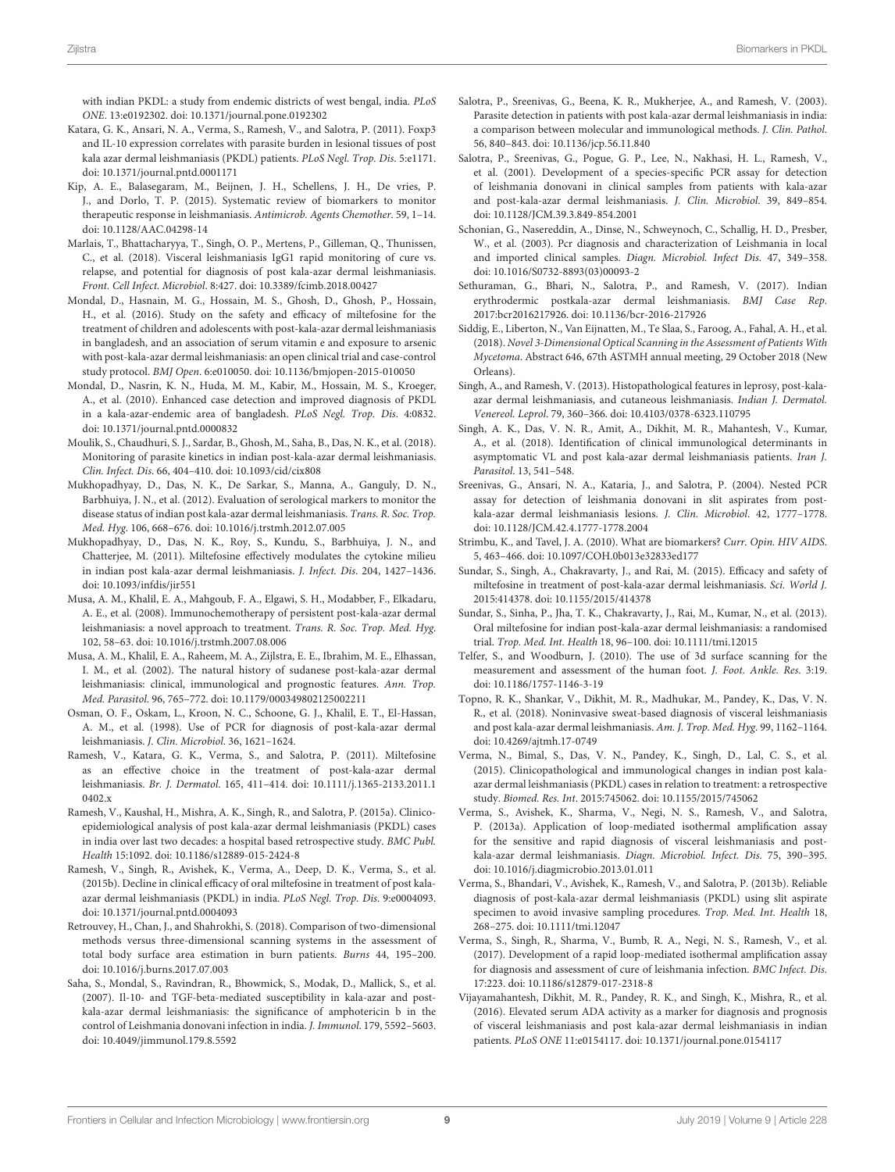with indian PKDL: a study from endemic districts of west bengal, india. PLoS ONE. 13:e0192302. doi: [10.1371/journal.pone.0192302](https://doi.org/10.1371/journal.pone.0192302)

- <span id="page-8-1"></span>Katara, G. K., Ansari, N. A., Verma, S., Ramesh, V., and Salotra, P. (2011). Foxp3 and IL-10 expression correlates with parasite burden in lesional tissues of post kala azar dermal leishmaniasis (PKDL) patients. PLoS Negl. Trop. Dis. 5:e1171. doi: [10.1371/journal.pntd.0001171](https://doi.org/10.1371/journal.pntd.0001171)
- <span id="page-8-6"></span>Kip, A. E., Balasegaram, M., Beijnen, J. H., Schellens, J. H., De vries, P. J., and Dorlo, T. P. (2015). Systematic review of biomarkers to monitor therapeutic response in leishmaniasis. Antimicrob. Agents Chemother. 59, 1–14. doi: [10.1128/AAC.04298-14](https://doi.org/10.1128/AAC.04298-14)
- <span id="page-8-31"></span>Marlais, T., Bhattacharyya, T., Singh, O. P., Mertens, P., Gilleman, Q., Thunissen, C., et al. (2018). Visceral leishmaniasis IgG1 rapid monitoring of cure vs. relapse, and potential for diagnosis of post kala-azar dermal leishmaniasis. Front. Cell Infect. Microbiol. 8:427. doi: [10.3389/fcimb.2018.00427](https://doi.org/10.3389/fcimb.2018.00427)
- <span id="page-8-12"></span>Mondal, D., Hasnain, M. G., Hossain, M. S., Ghosh, D., Ghosh, P., Hossain, H., et al. (2016). Study on the safety and efficacy of miltefosine for the treatment of children and adolescents with post-kala-azar dermal leishmaniasis in bangladesh, and an association of serum vitamin e and exposure to arsenic with post-kala-azar dermal leishmaniasis: an open clinical trial and case-control study protocol. BMJ Open. 6:e010050. doi: [10.1136/bmjopen-2015-010050](https://doi.org/10.1136/bmjopen-2015-010050)
- <span id="page-8-21"></span>Mondal, D., Nasrin, K. N., Huda, M. M., Kabir, M., Hossain, M. S., Kroeger, A., et al. (2010). Enhanced case detection and improved diagnosis of PKDL in a kala-azar-endemic area of bangladesh. PLoS Negl. Trop. Dis. 4:0832. doi: [10.1371/journal.pntd.0000832](https://doi.org/10.1371/journal.pntd.0000832)
- <span id="page-8-27"></span>Moulik, S., Chaudhuri, S. J., Sardar, B., Ghosh, M., Saha, B., Das, N. K., et al. (2018). Monitoring of parasite kinetics in indian post-kala-azar dermal leishmaniasis. Clin. Infect. Dis. 66, 404–410. doi: [10.1093/cid/cix808](https://doi.org/10.1093/cid/cix808)
- <span id="page-8-2"></span>Mukhopadhyay, D., Das, N. K., De Sarkar, S., Manna, A., Ganguly, D. N., Barbhuiya, J. N., et al. (2012). Evaluation of serological markers to monitor the disease status of indian post kala-azar dermal leishmaniasis. Trans. R. Soc. Trop. Med. Hyg. 106, 668–676. doi: [10.1016/j.trstmh.2012.07.005](https://doi.org/10.1016/j.trstmh.2012.07.005)
- <span id="page-8-3"></span>Mukhopadhyay, D., Das, N. K., Roy, S., Kundu, S., Barbhuiya, J. N., and Chatterjee, M. (2011). Miltefosine effectively modulates the cytokine milieu in indian post kala-azar dermal leishmaniasis. J. Infect. Dis. 204, 1427–1436. doi: [10.1093/infdis/jir551](https://doi.org/10.1093/infdis/jir551)
- <span id="page-8-11"></span>Musa, A. M., Khalil, E. A., Mahgoub, F. A., Elgawi, S. H., Modabber, F., Elkadaru, A. E., et al. (2008). Immunochemotherapy of persistent post-kala-azar dermal leishmaniasis: a novel approach to treatment. Trans. R. Soc. Trop. Med. Hyg. 102, 58–63. doi: [10.1016/j.trstmh.2007.08.006](https://doi.org/10.1016/j.trstmh.2007.08.006)
- <span id="page-8-7"></span>Musa, A. M., Khalil, E. A., Raheem, M. A., Zijlstra, E. E., Ibrahim, M. E., Elhassan, I. M., et al. (2002). The natural history of sudanese post-kala-azar dermal leishmaniasis: clinical, immunological and prognostic features. Ann. Trop. Med. Parasitol. 96, 765–772. doi: [10.1179/000349802125002211](https://doi.org/10.1179/000349802125002211)
- <span id="page-8-19"></span>Osman, O. F., Oskam, L., Kroon, N. C., Schoone, G. J., Khalil, E. T., El-Hassan, A. M., et al. (1998). Use of PCR for diagnosis of post-kala-azar dermal leishmaniasis. J. Clin. Microbiol. 36, 1621–1624.
- <span id="page-8-26"></span>Ramesh, V., Katara, G. K., Verma, S., and Salotra, P. (2011). Miltefosine as an effective choice in the treatment of post-kala-azar dermal leishmaniasis. Br. J. Dermatol[. 165, 411–414. doi: 10.1111/j.1365-2133.2011.1](https://doi.org/10.1111/j.1365-2133.2011.10402.x) 0402.x
- <span id="page-8-8"></span>Ramesh, V., Kaushal, H., Mishra, A. K., Singh, R., and Salotra, P. (2015a). Clinicoepidemiological analysis of post kala-azar dermal leishmaniasis (PKDL) cases in india over last two decades: a hospital based retrospective study. BMC Publ. Health 15:1092. doi: [10.1186/s12889-015-2424-8](https://doi.org/10.1186/s12889-015-2424-8)
- <span id="page-8-17"></span>Ramesh, V., Singh, R., Avishek, K., Verma, A., Deep, D. K., Verma, S., et al. (2015b). Decline in clinical efficacy of oral miltefosine in treatment of post kalaazar dermal leishmaniasis (PKDL) in india. PLoS Negl. Trop. Dis. 9:e0004093. doi: [10.1371/journal.pntd.0004093](https://doi.org/10.1371/journal.pntd.0004093)
- <span id="page-8-15"></span>Retrouvey, H., Chan, J., and Shahrokhi, S. (2018). Comparison of two-dimensional methods versus three-dimensional scanning systems in the assessment of total body surface area estimation in burn patients. Burns 44, 195–200. doi: [10.1016/j.burns.2017.07.003](https://doi.org/10.1016/j.burns.2017.07.003)
- <span id="page-8-0"></span>Saha, S., Mondal, S., Ravindran, R., Bhowmick, S., Modak, D., Mallick, S., et al. (2007). Il-10- and TGF-beta-mediated susceptibility in kala-azar and postkala-azar dermal leishmaniasis: the significance of amphotericin b in the control of Leishmania donovani infection in india. J. Immunol. 179, 5592–5603. doi: [10.4049/jimmunol.179.8.5592](https://doi.org/10.4049/jimmunol.179.8.5592)
- <span id="page-8-25"></span>Salotra, P., Sreenivas, G., Beena, K. R., Mukherjee, A., and Ramesh, V. (2003). Parasite detection in patients with post kala-azar dermal leishmaniasis in india: a comparison between molecular and immunological methods. J. Clin. Pathol. 56, 840–843. doi: [10.1136/jcp.56.11.840](https://doi.org/10.1136/jcp.56.11.840)
- <span id="page-8-20"></span>Salotra, P., Sreenivas, G., Pogue, G. P., Lee, N., Nakhasi, H. L., Ramesh, V., et al. (2001). Development of a species-specific PCR assay for detection of leishmania donovani in clinical samples from patients with kala-azar and post-kala-azar dermal leishmaniasis. J. Clin. Microbiol. 39, 849–854. doi: [10.1128/JCM.39.3.849-854.2001](https://doi.org/10.1128/JCM.39.3.849-854.2001)
- <span id="page-8-22"></span>Schonian, G., Nasereddin, A., Dinse, N., Schweynoch, C., Schallig, H. D., Presber, W., et al. (2003). Pcr diagnosis and characterization of Leishmania in local and imported clinical samples. Diagn. Microbiol. Infect Dis. 47, 349–358. doi: [10.1016/S0732-8893\(03\)00093-2](https://doi.org/10.1016/S0732-8893(03)00093-2)
- <span id="page-8-10"></span>Sethuraman, G., Bhari, N., Salotra, P., and Ramesh, V. (2017). Indian erythrodermic postkala-azar dermal leishmaniasis. BMJ Case Rep. 2017:bcr2016217926. doi: [10.1136/bcr-2016-217926](https://doi.org/10.1136/bcr-2016-217926)
- <span id="page-8-16"></span>Siddig, E., Liberton, N., Van Eijnatten, M., Te Slaa, S., Faroog, A., Fahal, A. H., et al. (2018). Novel 3-Dimensional Optical Scanning in the Assessment of Patients With Mycetoma. Abstract 646, 67th ASTMH annual meeting, 29 October 2018 (New Orleans).
- <span id="page-8-9"></span>Singh, A., and Ramesh, V. (2013). Histopathological features in leprosy, post-kalaazar dermal leishmaniasis, and cutaneous leishmaniasis. Indian J. Dermatol. Venereol. Leprol. 79, 360–366. doi: [10.4103/0378-6323.110795](https://doi.org/10.4103/0378-6323.110795)
- <span id="page-8-32"></span>Singh, A. K., Das, V. N. R., Amit, A., Dikhit, M. R., Mahantesh, V., Kumar, A., et al. (2018). Identification of clinical immunological determinants in asymptomatic VL and post kala-azar dermal leishmaniasis patients. Iran J. Parasitol. 13, 541–548.
- <span id="page-8-23"></span>Sreenivas, G., Ansari, N. A., Kataria, J., and Salotra, P. (2004). Nested PCR assay for detection of leishmania donovani in slit aspirates from postkala-azar dermal leishmaniasis lesions. J. Clin. Microbiol. 42, 1777–1778. doi: [10.1128/JCM.42.4.1777-1778.2004](https://doi.org/10.1128/JCM.42.4.1777-1778.2004)
- <span id="page-8-5"></span>Strimbu, K., and Tavel, J. A. (2010). What are biomarkers? Curr. Opin. HIV AIDS. 5, 463–466. doi: [10.1097/COH.0b013e32833ed177](https://doi.org/10.1097/COH.0b013e32833ed177)
- <span id="page-8-24"></span>Sundar, S., Singh, A., Chakravarty, J., and Rai, M. (2015). Efficacy and safety of miltefosine in treatment of post-kala-azar dermal leishmaniasis. Sci. World J. 2015:414378. doi: [10.1155/2015/414378](https://doi.org/10.1155/2015/414378)
- <span id="page-8-13"></span>Sundar, S., Sinha, P., Jha, T. K., Chakravarty, J., Rai, M., Kumar, N., et al. (2013). Oral miltefosine for indian post-kala-azar dermal leishmaniasis: a randomised trial. Trop. Med. Int. Health 18, 96–100. doi: [10.1111/tmi.12015](https://doi.org/10.1111/tmi.12015)
- <span id="page-8-14"></span>Telfer, S., and Woodburn, J. (2010). The use of 3d surface scanning for the measurement and assessment of the human foot. J. Foot. Ankle. Res. 3:19. doi: [10.1186/1757-1146-3-19](https://doi.org/10.1186/1757-1146-3-19)
- <span id="page-8-30"></span>Topno, R. K., Shankar, V., Dikhit, M. R., Madhukar, M., Pandey, K., Das, V. N. R., et al. (2018). Noninvasive sweat-based diagnosis of visceral leishmaniasis and post kala-azar dermal leishmaniasis. Am. J. Trop. Med. Hyg. 99, 1162–1164. doi: [10.4269/ajtmh.17-0749](https://doi.org/10.4269/ajtmh.17-0749)
- <span id="page-8-4"></span>Verma, N., Bimal, S., Das, V. N., Pandey, K., Singh, D., Lal, C. S., et al. (2015). Clinicopathological and immunological changes in indian post kalaazar dermal leishmaniasis (PKDL) cases in relation to treatment: a retrospective study. Biomed. Res. Int. 2015:745062. doi: [10.1155/2015/745062](https://doi.org/10.1155/2015/745062)
- <span id="page-8-28"></span>Verma, S., Avishek, K., Sharma, V., Negi, N. S., Ramesh, V., and Salotra, P. (2013a). Application of loop-mediated isothermal amplification assay for the sensitive and rapid diagnosis of visceral leishmaniasis and postkala-azar dermal leishmaniasis. Diagn. Microbiol. Infect. Dis. 75, 390–395. doi: [10.1016/j.diagmicrobio.2013.01.011](https://doi.org/10.1016/j.diagmicrobio.2013.01.011)
- <span id="page-8-18"></span>Verma, S., Bhandari, V., Avishek, K., Ramesh, V., and Salotra, P. (2013b). Reliable diagnosis of post-kala-azar dermal leishmaniasis (PKDL) using slit aspirate specimen to avoid invasive sampling procedures. Trop. Med. Int. Health 18, 268–275. doi: [10.1111/tmi.12047](https://doi.org/10.1111/tmi.12047)
- <span id="page-8-29"></span>Verma, S., Singh, R., Sharma, V., Bumb, R. A., Negi, N. S., Ramesh, V., et al. (2017). Development of a rapid loop-mediated isothermal amplification assay for diagnosis and assessment of cure of leishmania infection. BMC Infect. Dis. 17:223. doi: [10.1186/s12879-017-2318-8](https://doi.org/10.1186/s12879-017-2318-8)
- <span id="page-8-33"></span>Vijayamahantesh, Dikhit, M. R., Pandey, R. K., and Singh, K., Mishra, R., et al. (2016). Elevated serum ADA activity as a marker for diagnosis and prognosis of visceral leishmaniasis and post kala-azar dermal leishmaniasis in indian patients. PLoS ONE 11:e0154117. doi: [10.1371/journal.pone.0154117](https://doi.org/10.1371/journal.pone.0154117)